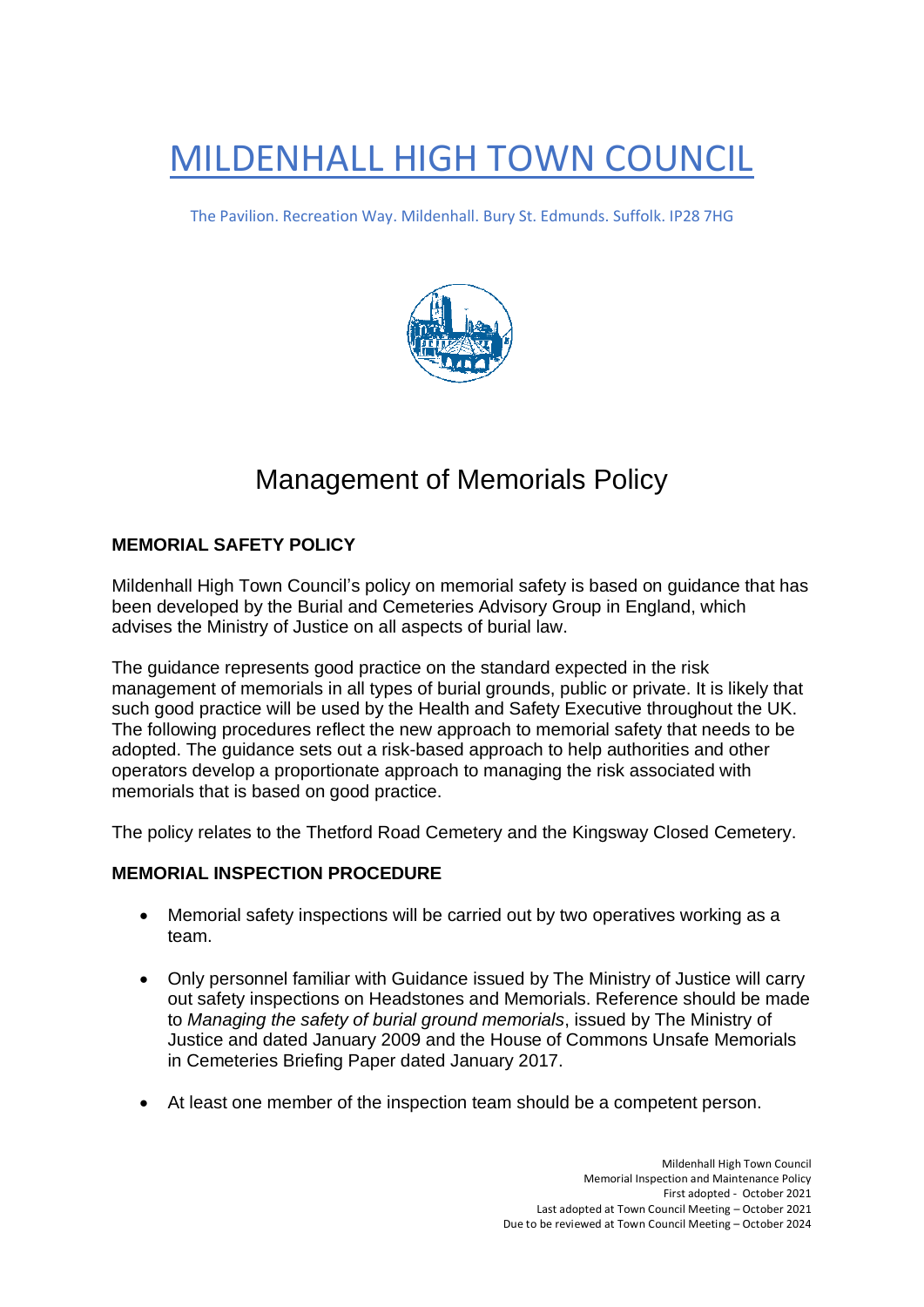# MILDENHALL HIGH TOWN COUNCIL

The Pavilion. Recreation Way. Mildenhall. Bury St. Edmunds. Suffolk. IP28 7HG



# Management of Memorials Policy

# **MEMORIAL SAFETY POLICY**

Mildenhall High Town Council's policy on memorial safety is based on guidance that has been developed by the Burial and Cemeteries Advisory Group in England, which advises the Ministry of Justice on all aspects of burial law.

The guidance represents good practice on the standard expected in the risk management of memorials in all types of burial grounds, public or private. It is likely that such good practice will be used by the Health and Safety Executive throughout the UK. The following procedures reflect the new approach to memorial safety that needs to be adopted. The guidance sets out a risk-based approach to help authorities and other operators develop a proportionate approach to managing the risk associated with memorials that is based on good practice.

The policy relates to the Thetford Road Cemetery and the Kingsway Closed Cemetery.

# **MEMORIAL INSPECTION PROCEDURE**

- Memorial safety inspections will be carried out by two operatives working as a team.
- Only personnel familiar with Guidance issued by The Ministry of Justice will carry out safety inspections on Headstones and Memorials. Reference should be made to *Managing the safety of burial ground memorials*, issued by The Ministry of Justice and dated January 2009 and the House of Commons Unsafe Memorials in Cemeteries Briefing Paper dated January 2017.
- At least one member of the inspection team should be a competent person.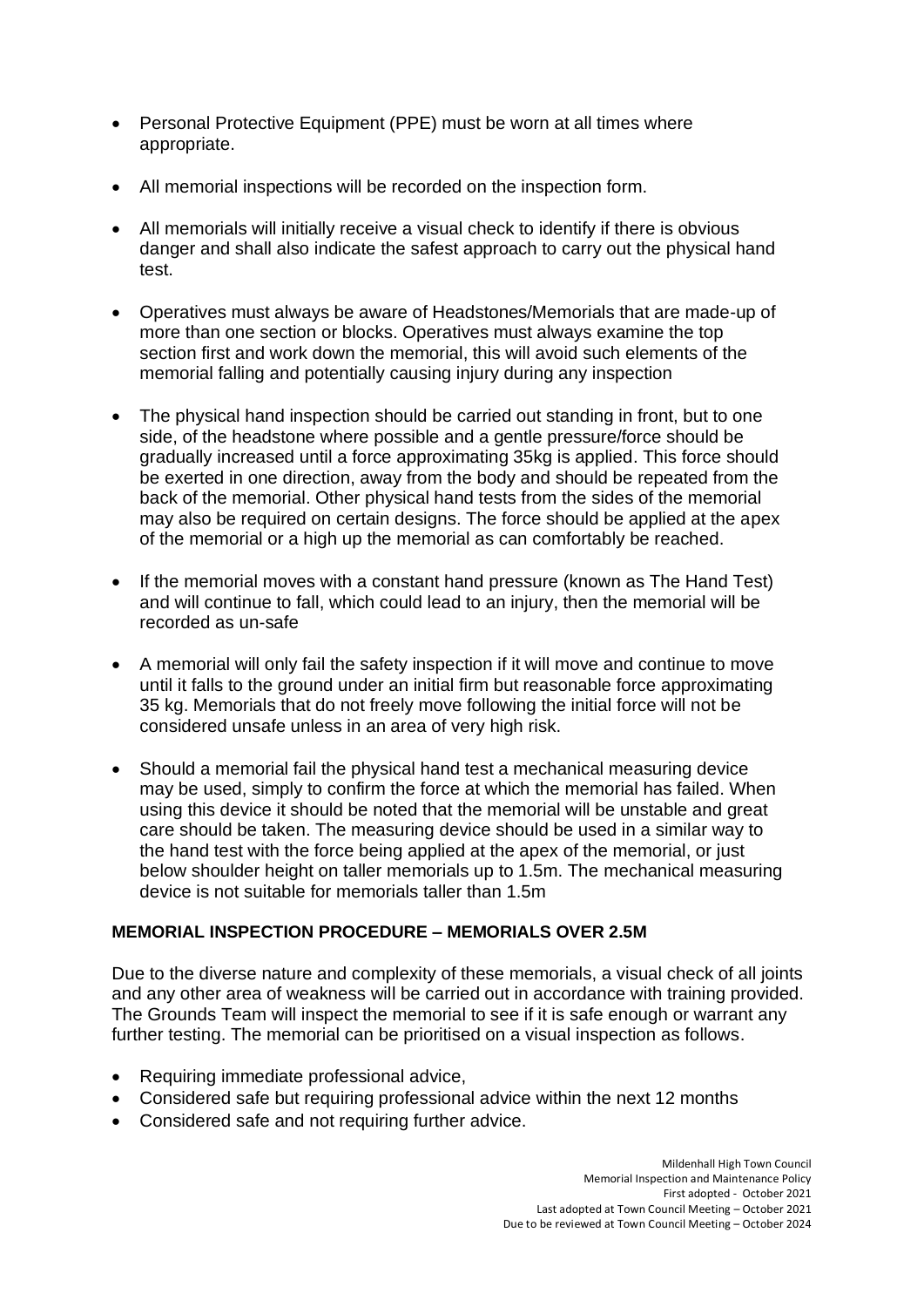- Personal Protective Equipment (PPE) must be worn at all times where appropriate.
- All memorial inspections will be recorded on the inspection form.
- All memorials will initially receive a visual check to identify if there is obvious danger and shall also indicate the safest approach to carry out the physical hand test.
- Operatives must always be aware of Headstones/Memorials that are made-up of more than one section or blocks. Operatives must always examine the top section first and work down the memorial, this will avoid such elements of the memorial falling and potentially causing injury during any inspection
- The physical hand inspection should be carried out standing in front, but to one side, of the headstone where possible and a gentle pressure/force should be gradually increased until a force approximating 35kg is applied. This force should be exerted in one direction, away from the body and should be repeated from the back of the memorial. Other physical hand tests from the sides of the memorial may also be required on certain designs. The force should be applied at the apex of the memorial or a high up the memorial as can comfortably be reached.
- If the memorial moves with a constant hand pressure (known as The Hand Test) and will continue to fall, which could lead to an injury, then the memorial will be recorded as un-safe
- A memorial will only fail the safety inspection if it will move and continue to move until it falls to the ground under an initial firm but reasonable force approximating 35 kg. Memorials that do not freely move following the initial force will not be considered unsafe unless in an area of very high risk.
- Should a memorial fail the physical hand test a mechanical measuring device may be used, simply to confirm the force at which the memorial has failed. When using this device it should be noted that the memorial will be unstable and great care should be taken. The measuring device should be used in a similar way to the hand test with the force being applied at the apex of the memorial, or just below shoulder height on taller memorials up to 1.5m. The mechanical measuring device is not suitable for memorials taller than 1.5m

#### **MEMORIAL INSPECTION PROCEDURE – MEMORIALS OVER 2.5M**

Due to the diverse nature and complexity of these memorials, a visual check of all joints and any other area of weakness will be carried out in accordance with training provided. The Grounds Team will inspect the memorial to see if it is safe enough or warrant any further testing. The memorial can be prioritised on a visual inspection as follows.

- Requiring immediate professional advice,
- Considered safe but requiring professional advice within the next 12 months
- Considered safe and not requiring further advice.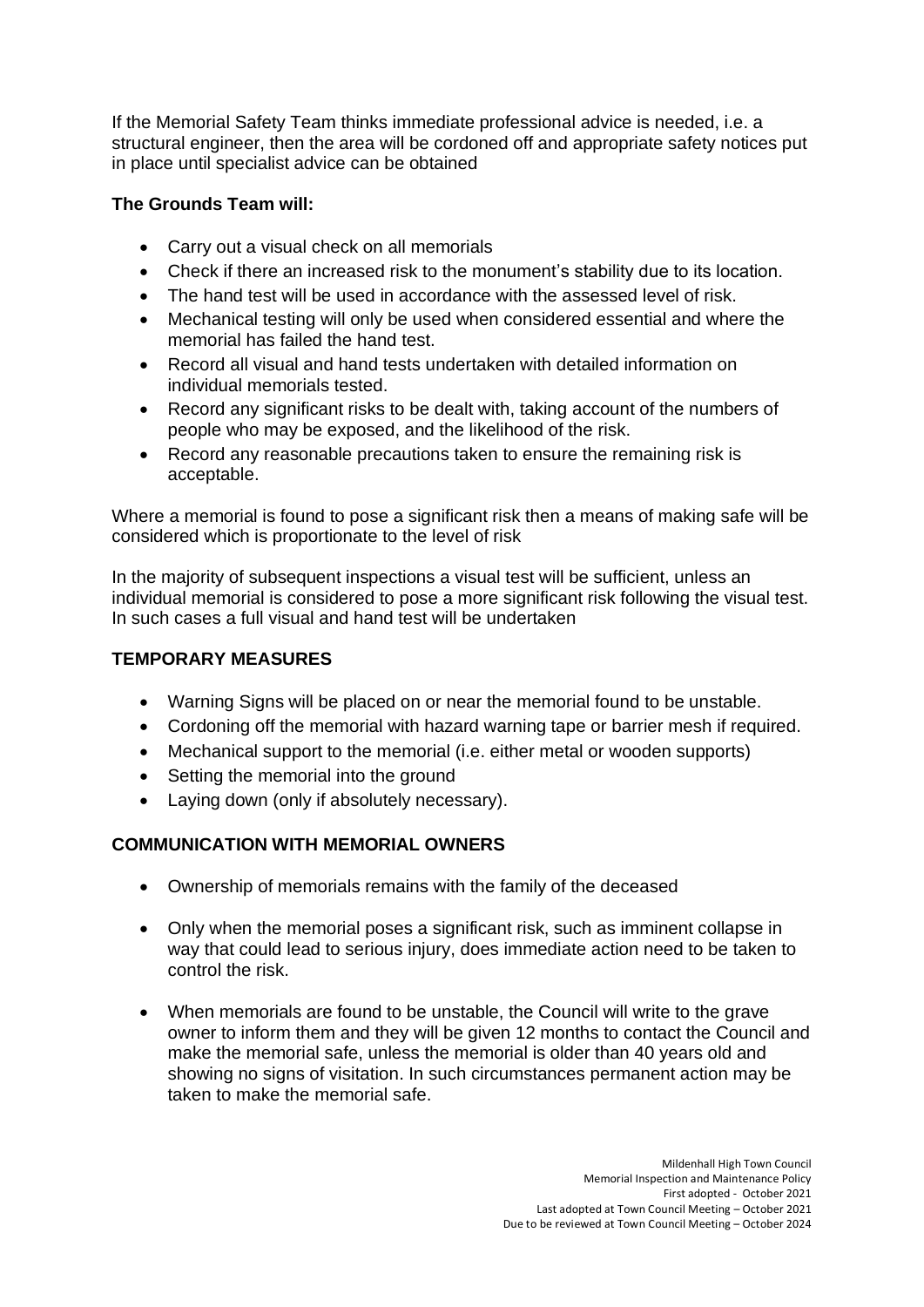If the Memorial Safety Team thinks immediate professional advice is needed, i.e. a structural engineer, then the area will be cordoned off and appropriate safety notices put in place until specialist advice can be obtained

### **The Grounds Team will:**

- Carry out a visual check on all memorials
- Check if there an increased risk to the monument's stability due to its location.
- The hand test will be used in accordance with the assessed level of risk.
- Mechanical testing will only be used when considered essential and where the memorial has failed the hand test.
- Record all visual and hand tests undertaken with detailed information on individual memorials tested.
- Record any significant risks to be dealt with, taking account of the numbers of people who may be exposed, and the likelihood of the risk.
- Record any reasonable precautions taken to ensure the remaining risk is acceptable.

Where a memorial is found to pose a significant risk then a means of making safe will be considered which is proportionate to the level of risk

In the majority of subsequent inspections a visual test will be sufficient, unless an individual memorial is considered to pose a more significant risk following the visual test. In such cases a full visual and hand test will be undertaken

#### **TEMPORARY MEASURES**

- Warning Signs will be placed on or near the memorial found to be unstable.
- Cordoning off the memorial with hazard warning tape or barrier mesh if required.
- Mechanical support to the memorial (i.e. either metal or wooden supports)
- Setting the memorial into the ground
- Laying down (only if absolutely necessary).

# **COMMUNICATION WITH MEMORIAL OWNERS**

- Ownership of memorials remains with the family of the deceased
- Only when the memorial poses a significant risk, such as imminent collapse in way that could lead to serious injury, does immediate action need to be taken to control the risk.
- When memorials are found to be unstable, the Council will write to the grave owner to inform them and they will be given 12 months to contact the Council and make the memorial safe, unless the memorial is older than 40 years old and showing no signs of visitation. In such circumstances permanent action may be taken to make the memorial safe.